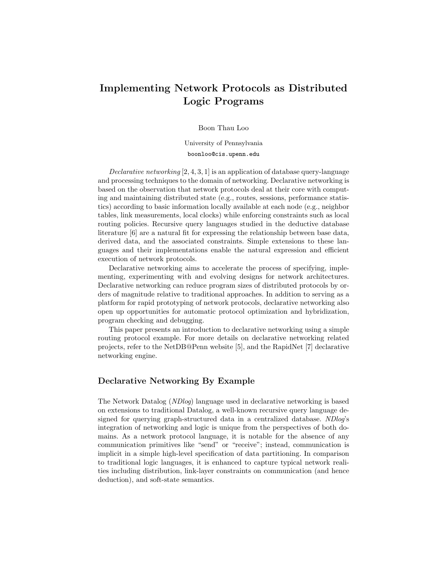# Implementing Network Protocols as Distributed Logic Programs

#### Boon Thau Loo

University of Pennsylvania boonloo@cis.upenn.edu

Declarative networking [2, 4, 3, 1] is an application of database query-language and processing techniques to the domain of networking. Declarative networking is based on the observation that network protocols deal at their core with computing and maintaining distributed state (e.g., routes, sessions, performance statistics) according to basic information locally available at each node (e.g., neighbor tables, link measurements, local clocks) while enforcing constraints such as local routing policies. Recursive query languages studied in the deductive database literature [6] are a natural fit for expressing the relationship between base data, derived data, and the associated constraints. Simple extensions to these languages and their implementations enable the natural expression and efficient execution of network protocols.

Declarative networking aims to accelerate the process of specifying, implementing, experimenting with and evolving designs for network architectures. Declarative networking can reduce program sizes of distributed protocols by orders of magnitude relative to traditional approaches. In addition to serving as a platform for rapid prototyping of network protocols, declarative networking also open up opportunities for automatic protocol optimization and hybridization, program checking and debugging.

This paper presents an introduction to declarative networking using a simple routing protocol example. For more details on declarative networking related projects, refer to the NetDB@Penn website [5], and the RapidNet [7] declarative networking engine.

### Declarative Networking By Example

The Network Datalog (NDlog) language used in declarative networking is based on extensions to traditional Datalog, a well-known recursive query language designed for querying graph-structured data in a centralized database. NDlog's integration of networking and logic is unique from the perspectives of both domains. As a network protocol language, it is notable for the absence of any communication primitives like "send" or "receive"; instead, communication is implicit in a simple high-level specification of data partitioning. In comparison to traditional logic languages, it is enhanced to capture typical network realities including distribution, link-layer constraints on communication (and hence deduction), and soft-state semantics.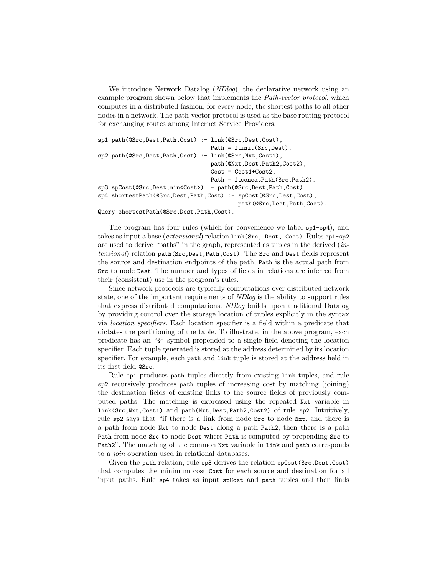We introduce Network Datalog *(NDlog)*, the declarative network using an example program shown below that implements the *Path-vector protocol*, which computes in a distributed fashion, for every node, the shortest paths to all other nodes in a network. The path-vector protocol is used as the base routing protocol for exchanging routes among Internet Service Providers.

```
sp1 path(@Src,Dest,Path,Cost) :- link(@Src,Dest,Cost),
                                  Path = f_{init}(Src, Dest).
sp2 path(@Src,Dest,Path,Cost) :- link(@Src,Nxt,Cost1),
                                  path(@Nxt,Dest,Path2,Cost2),
                                  Cost = Cost1+Cost2,
                                  Path = f_{\text{concatPath}}(Src, Path2).
sp3 spCost(@Src,Dest,min<Cost>) :- path(@Src,Dest,Path,Cost).
sp4 shortestPath(@Src,Dest,Path,Cost) :- spCost(@Src,Dest,Cost),
                                           path(@Src,Dest,Path,Cost).
```
Query shortestPath(@Src,Dest,Path,Cost).

The program has four rules (which for convenience we label sp1-sp4), and takes as input a base (extensional) relation link(Src, Dest, Cost). Rules sp1-sp2 are used to derive "paths" in the graph, represented as tuples in the derived (intensional) relation path(Src,Dest,Path,Cost). The Src and Dest fields represent the source and destination endpoints of the path, Path is the actual path from Src to node Dest. The number and types of fields in relations are inferred from their (consistent) use in the program's rules.

Since network protocols are typically computations over distributed network state, one of the important requirements of NDlog is the ability to support rules that express distributed computations. NDlog builds upon traditional Datalog by providing control over the storage location of tuples explicitly in the syntax via location specifiers. Each location specifier is a field within a predicate that dictates the partitioning of the table. To illustrate, in the above program, each predicate has an "@" symbol prepended to a single field denoting the location specifier. Each tuple generated is stored at the address determined by its location specifier. For example, each path and link tuple is stored at the address held in its first field @Src.

Rule sp1 produces path tuples directly from existing link tuples, and rule sp2 recursively produces path tuples of increasing cost by matching (joining) the destination fields of existing links to the source fields of previously computed paths. The matching is expressed using the repeated Nxt variable in link(Src,Nxt,Cost1) and path(Nxt,Dest,Path2,Cost2) of rule sp2. Intuitively, rule sp2 says that "if there is a link from node Src to node Nxt, and there is a path from node Nxt to node Dest along a path Path2, then there is a path Path from node Src to node Dest where Path is computed by prepending Src to Path2". The matching of the common Nxt variable in link and path corresponds to a join operation used in relational databases.

Given the path relation, rule sp3 derives the relation spCost(Src, Dest, Cost) that computes the minimum cost Cost for each source and destination for all input paths. Rule sp4 takes as input spCost and path tuples and then finds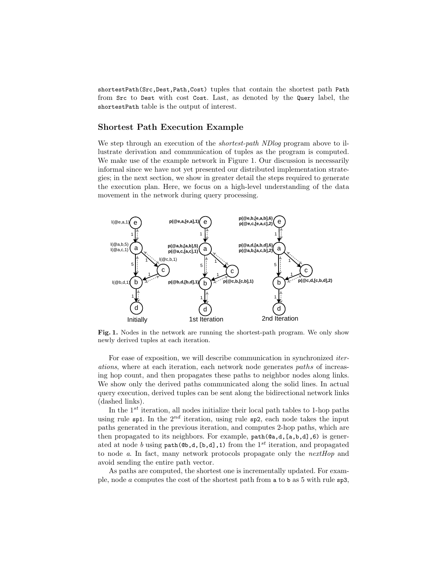shortestPath(Src,Dest,Path,Cost) tuples that contain the shortest path Path from Src to Dest with cost Cost. Last, as denoted by the Query label, the shortestPath table is the output of interest.

#### Shortest Path Execution Example

We step through an execution of the *shortest-path NDlog* program above to illustrate derivation and communication of tuples as the program is computed. We make use of the example network in Figure 1. Our discussion is necessarily informal since we have not yet presented our distributed implementation strategies; in the next section, we show in greater detail the steps required to generate the execution plan. Here, we focus on a high-level understanding of the data movement in the network during query processing.



Fig. 1. Nodes in the network are running the shortest-path program. We only show newly derived tuples at each iteration.

For ease of exposition, we will describe communication in synchronized iterations, where at each iteration, each network node generates paths of increasing hop count, and then propagates these paths to neighbor nodes along links. We show only the derived paths communicated along the solid lines. In actual query execution, derived tuples can be sent along the bidirectional network links (dashed links).

In the  $1^{st}$  iteration, all nodes initialize their local path tables to 1-hop paths using rule sp1. In the  $2^{nd}$  iteration, using rule sp2, each node takes the input paths generated in the previous iteration, and computes 2-hop paths, which are then propagated to its neighbors. For example, path(@a,d,[a,b,d],6) is generated at node b using path( $\mathbf{Q}_b$ ,d, $[\mathbf{b},\mathbf{d}]$ ,1) from the 1<sup>st</sup> iteration, and propagated to node a. In fact, many network protocols propagate only the nextHop and avoid sending the entire path vector.

As paths are computed, the shortest one is incrementally updated. For example, node a computes the cost of the shortest path from a to b as 5 with rule sp3,